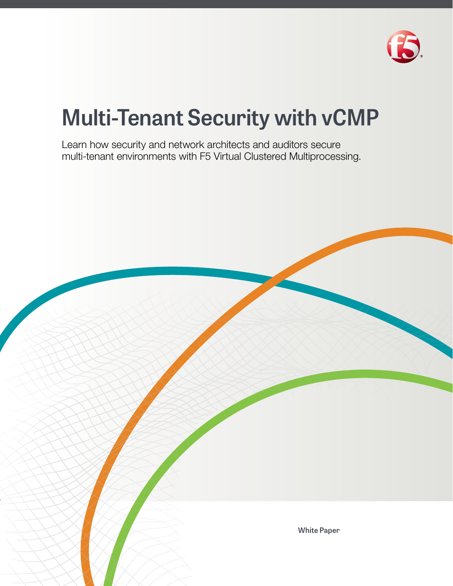

# **Multi-Tenant Security with vCMP**

Learn how security and network architects and auditors secure multi-tenant environments with F5 Virtual Clustered Multiprocessing.

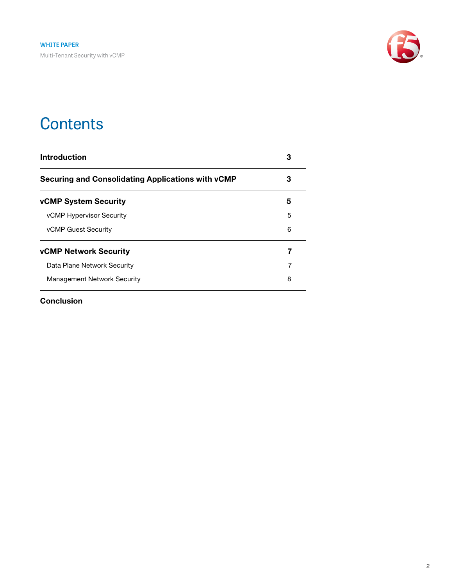

### **Contents**

| Introduction                                      | 3 |  |
|---------------------------------------------------|---|--|
| Securing and Consolidating Applications with vCMP | З |  |
| <b>vCMP System Security</b>                       | 5 |  |
| <b>vCMP Hypervisor Security</b>                   | 5 |  |
| <b>vCMP Guest Security</b>                        | 6 |  |
| <b>vCMP Network Security</b>                      | 7 |  |
| Data Plane Network Security                       | 7 |  |
| <b>Management Network Security</b>                | 8 |  |
|                                                   |   |  |

[Conclusion](#page-8-0)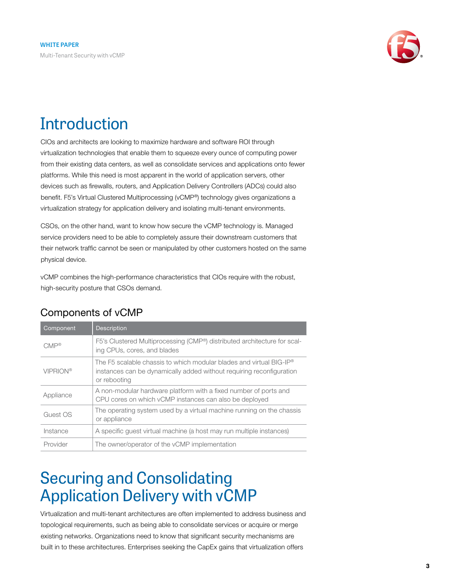

## <span id="page-2-0"></span>**Introduction**

CIOs and architects are looking to maximize hardware and software ROI through virtualization technologies that enable them to squeeze every ounce of computing power from their existing data centers, as well as consolidate services and applications onto fewer platforms. While this need is most apparent in the world of application servers, other devices such as firewalls, routers, and Application Delivery Controllers (ADCs) could also benefit. F5's Virtual Clustered Multiprocessing (vCMP®) technology gives organizations a virtualization strategy for application delivery and isolating multi-tenant environments.

CSOs, on the other hand, want to know how secure the vCMP technology is. Managed service providers need to be able to completely assure their downstream customers that their network traffic cannot be seen or manipulated by other customers hosted on the same physical device.

vCMP combines the high-performance characteristics that CIOs require with the robust, high-security posture that CSOs demand.

| Component         | <b>Description</b>                                                                                                                                                      |
|-------------------|-------------------------------------------------------------------------------------------------------------------------------------------------------------------------|
| $CMP^{\circledR}$ | F5's Clustered Multiprocessing (CMP®) distributed architecture for scal-<br>ing CPUs, cores, and blades                                                                 |
| <b>VIPRION®</b>   | The F5 scalable chassis to which modular blades and virtual BIG-IP <sup>®</sup><br>instances can be dynamically added without requiring reconfiguration<br>or rebooting |
| Appliance         | A non-modular hardware platform with a fixed number of ports and<br>CPU cores on which vCMP instances can also be deployed                                              |
| Guest OS          | The operating system used by a virtual machine running on the chassis<br>or appliance                                                                                   |
| Instance          | A specific quest virtual machine (a host may run multiple instances)                                                                                                    |
| Provider          | The owner/operator of the vCMP implementation                                                                                                                           |

### Components of vCMP

### <span id="page-2-1"></span>Securing and Consolidating Application Delivery with vCMP

Virtualization and multi-tenant architectures are often implemented to address business and topological requirements, such as being able to consolidate services or acquire or merge existing networks. Organizations need to know that significant security mechanisms are built in to these architectures. Enterprises seeking the CapEx gains that virtualization offers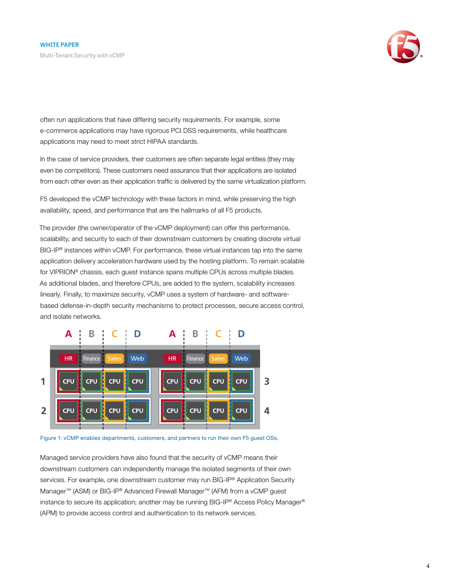

often run applications that have differing security requirements. For example, some e-commerce applications may have rigorous PCI DSS requirements, while healthcare applications may need to meet strict HIPAA standards.

In the case of service providers, their customers are often separate legal entities (they may even be competitors). These customers need assurance that their applications are isolated from each other even as their application traffic is delivered by the same virtualization platform.

F5 developed the vCMP technology with these factors in mind, while preserving the high availability, speed, and performance that are the hallmarks of all F5 products.

The provider (the owner/operator of the vCMP deployment) can offer this performance, scalability, and security to each of their downstream customers by creating discrete virtual BIG-IP® instances within vCMP. For performance, these virtual instances tap into the same application delivery acceleration hardware used by the hosting platform. To remain scalable for VIPRION® chassis, each guest instance spans multiple CPUs across multiple blades. As additional blades, and therefore CPUs, are added to the system, scalability increases linearly. Finally, to maximize security, vCMP uses a system of hardware- and softwarebased defense-in-depth security mechanisms to protect processes, secure access control, and isolate networks.



Figure 1: vCMP enables departments, customers, and partners to run their own F5 guest OSs.

Managed service providers have also found that the security of vCMP means their downstream customers can independently manage the isolated segments of their own services. For example, one downstream customer may run BIG-IP<sup>®</sup> Application Security Manager™ (ASM) or BIG-IP® Advanced Firewall Manager™ (AFM) from a vCMP guest instance to secure its application; another may be running BIG-IP® Access Policy Manager® (APM) to provide access control and authentication to its network services.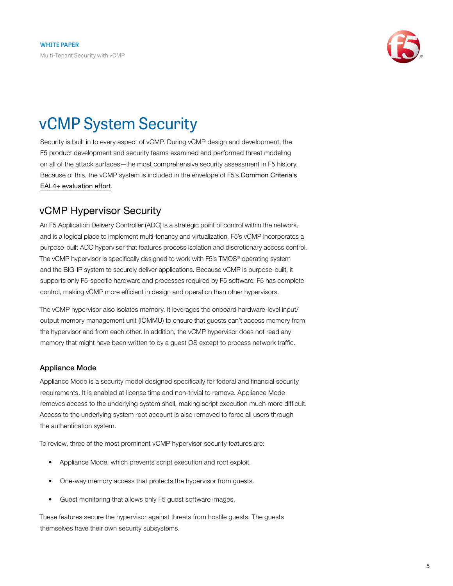

## <span id="page-4-0"></span>vCMP System Security

Security is built in to every aspect of vCMP. During vCMP design and development, the F5 product development and security teams examined and performed threat modeling on all of the attack surfaces—the most comprehensive security assessment in F5 history. Because of this, the vCMP system is included in the envelope of F5's [Common Criteria's](https://f5.com/about-us/compliance-and-certifications) [EAL4+ evaluation effort](https://f5.com/about-us/compliance-and-certifications).

### <span id="page-4-1"></span>vCMP Hypervisor Security

An F5 Application Delivery Controller (ADC) is a strategic point of control within the network, and is a logical place to implement multi-tenancy and virtualization. F5's vCMP incorporates a purpose-built ADC hypervisor that features process isolation and discretionary access control. The vCMP hypervisor is specifically designed to work with F5's TMOS® operating system and the BIG-IP system to securely deliver applications. Because vCMP is purpose-built, it supports only F5-specific hardware and processes required by F5 software; F5 has complete control, making vCMP more efficient in design and operation than other hypervisors.

The vCMP hypervisor also isolates memory. It leverages the onboard hardware-level input/ output memory management unit (IOMMU) to ensure that guests can't access memory from the hypervisor and from each other. In addition, the vCMP hypervisor does not read any memory that might have been written to by a guest OS except to process network traffic.

#### Appliance Mode

Appliance Mode is a security model designed specifically for federal and financial security requirements. It is enabled at license time and non-trivial to remove. Appliance Mode removes access to the underlying system shell, making script execution much more difficult. Access to the underlying system root account is also removed to force all users through the authentication system.

To review, three of the most prominent vCMP hypervisor security features are:

- Appliance Mode, which prevents script execution and root exploit.
- One-way memory access that protects the hypervisor from guests.
- Guest monitoring that allows only F5 guest software images.

These features secure the hypervisor against threats from hostile guests. The guests themselves have their own security subsystems.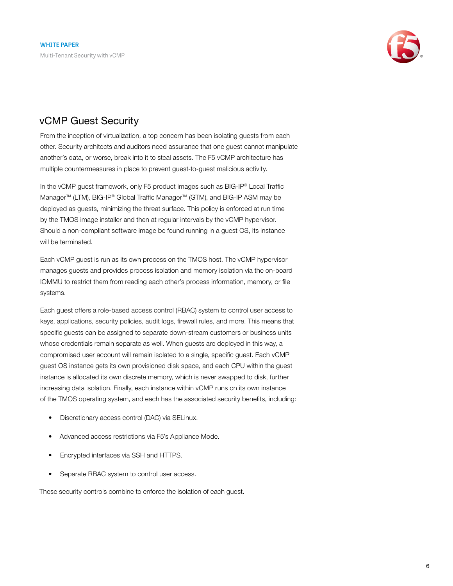

### <span id="page-5-0"></span>vCMP Guest Security

From the inception of virtualization, a top concern has been isolating guests from each other. Security architects and auditors need assurance that one guest cannot manipulate another's data, or worse, break into it to steal assets. The F5 vCMP architecture has multiple countermeasures in place to prevent guest-to-guest malicious activity.

In the vCMP guest framework, only F5 product images such as BIG-IP® Local Traffic Manager™ (LTM), BIG-IP® Global Traffic Manager™ (GTM), and BIG-IP ASM may be deployed as guests, minimizing the threat surface. This policy is enforced at run time by the TMOS image installer and then at regular intervals by the vCMP hypervisor. Should a non-compliant software image be found running in a guest OS, its instance will be terminated.

Each vCMP guest is run as its own process on the TMOS host. The vCMP hypervisor manages guests and provides process isolation and memory isolation via the on-board IOMMU to restrict them from reading each other's process information, memory, or file systems.

Each guest offers a role-based access control (RBAC) system to control user access to keys, applications, security policies, audit logs, firewall rules, and more. This means that specific guests can be assigned to separate down-stream customers or business units whose credentials remain separate as well. When guests are deployed in this way, a compromised user account will remain isolated to a single, specific guest. Each vCMP guest OS instance gets its own provisioned disk space, and each CPU within the guest instance is allocated its own discrete memory, which is never swapped to disk, further increasing data isolation. Finally, each instance within vCMP runs on its own instance of the TMOS operating system, and each has the associated security benefits, including:

- Discretionary access control (DAC) via SELinux.
- Advanced access restrictions via F5's Appliance Mode.
- Encrypted interfaces via SSH and HTTPS.
- Separate RBAC system to control user access.

These security controls combine to enforce the isolation of each guest.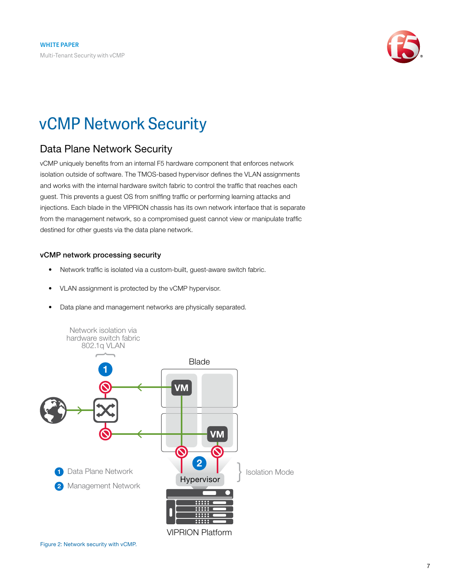

## <span id="page-6-0"></span>vCMP Network Security

### <span id="page-6-1"></span>Data Plane Network Security

vCMP uniquely benefits from an internal F5 hardware component that enforces network isolation outside of software. The TMOS-based hypervisor defines the VLAN assignments and works with the internal hardware switch fabric to control the traffic that reaches each guest. This prevents a guest OS from sniffing traffic or performing learning attacks and injections. Each blade in the VIPRION chassis has its own network interface that is separate from the management network, so a compromised guest cannot view or manipulate traffic destined for other guests via the data plane network.

#### vCMP network processing security

- Network traffic is isolated via a custom-built, guest-aware switch fabric.
- VLAN assignment is protected by the vCMP hypervisor.
- Data plane and management networks are physically separated.

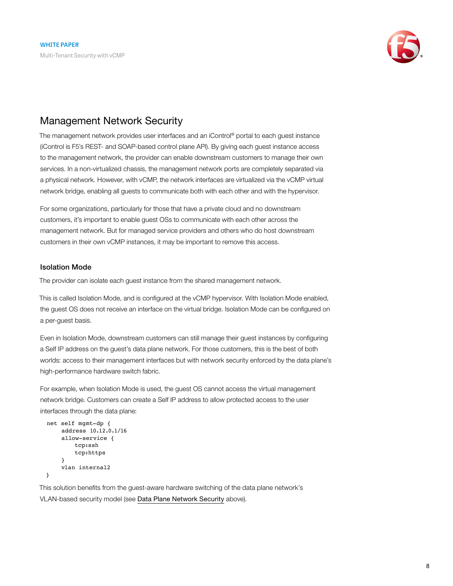

#### <span id="page-7-0"></span>Management Network Security

The management network provides user interfaces and an iControl® portal to each guest instance (iControl is F5's REST- and SOAP-based control plane API). By giving each guest instance access to the management network, the provider can enable downstream customers to manage their own services. In a non-virtualized chassis, the management network ports are completely separated via a physical network. However, with vCMP, the network interfaces are virtualized via the vCMP virtual network bridge, enabling all guests to communicate both with each other and with the hypervisor.

For some organizations, particularly for those that have a private cloud and no downstream customers, it's important to enable guest OSs to communicate with each other across the management network. But for managed service providers and others who do host downstream customers in their own vCMP instances, it may be important to remove this access.

#### Isolation Mode

The provider can isolate each guest instance from the shared management network.

This is called Isolation Mode, and is configured at the vCMP hypervisor. With Isolation Mode enabled, the guest OS does not receive an interface on the virtual bridge. Isolation Mode can be configured on a per-guest basis.

Even in Isolation Mode, downstream customers can still manage their guest instances by configuring a Self IP address on the guest's data plane network. For those customers, this is the best of both worlds: access to their management interfaces but with network security enforced by the data plane's high-performance hardware switch fabric.

For example, when Isolation Mode is used, the guest OS cannot access the virtual management network bridge. Customers can create a Self IP address to allow protected access to the user interfaces through the data plane:

```
net self mgmt-dp { 
     address 10.12.0.1/16 
     allow-service {
          tcp:ssh 
          tcp:https 
     }
     vlan internal2
}
```
This solution benefits from the guest-aware hardware switching of the data plane network's VLAN-based security model (see [Data Plane Network Security](#page-6-1) above).